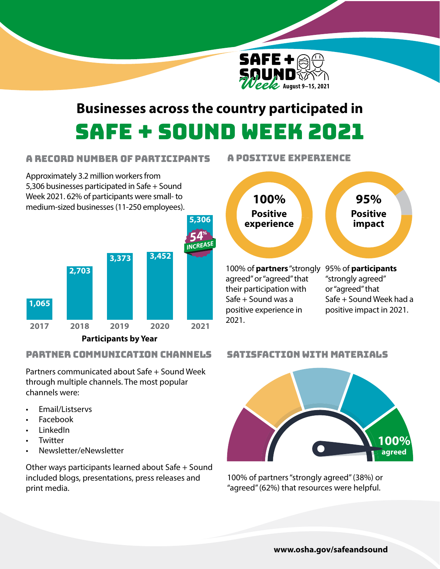

# **Businesses across the country participated in**  Safe + Sound Week 2021

2021.

### A Record Number of Participants

Approximately 3.2 million workers from 5,306 businesses participated in Safe + Sound Week 2021. 62% of participants were small- to medium-sized businesses (11-250 employees).



## Partner Communication Channels

Partners communicated about Safe + Sound Week through multiple channels. The most popular channels were:

- Email/Listservs
- Facebook
- LinkedIn
- **Twitter**
- Newsletter/eNewsletter

Other ways participants learned about Safe + Sound included blogs, presentations, press releases and print media.

## A positive experience



#### Satisfaction with Materials



100% of partners "strongly agreed" (38%) or "agreed" (62%) that resources were helpful.